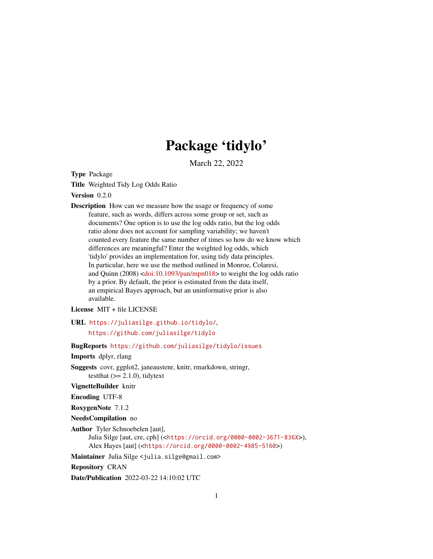## Package 'tidylo'

March 22, 2022

<span id="page-0-0"></span>Type Package

Title Weighted Tidy Log Odds Ratio

Version 0.2.0

Description How can we measure how the usage or frequency of some feature, such as words, differs across some group or set, such as documents? One option is to use the log odds ratio, but the log odds ratio alone does not account for sampling variability; we haven't counted every feature the same number of times so how do we know which differences are meaningful? Enter the weighted log odds, which 'tidylo' provides an implementation for, using tidy data principles. In particular, here we use the method outlined in Monroe, Colaresi, and Quinn (2008) [<doi:10.1093/pan/mpn018>](https://doi.org/10.1093/pan/mpn018) to weight the log odds ratio by a prior. By default, the prior is estimated from the data itself, an empirical Bayes approach, but an uninformative prior is also available.

License MIT + file LICENSE

URL <https://juliasilge.github.io/tidylo/>, <https://github.com/juliasilge/tidylo>

BugReports <https://github.com/juliasilge/tidylo/issues>

Imports dplyr, rlang

Suggests covr, ggplot2, janeaustenr, knitr, rmarkdown, stringr, testthat  $(>= 2.1.0)$ , tidytext

VignetteBuilder knitr

Encoding UTF-8

RoxygenNote 7.1.2

NeedsCompilation no

Author Tyler Schnoebelen [aut], Julia Silge [aut, cre, cph] (<<https://orcid.org/0000-0002-3671-836X>>), Alex Hayes [aut] (<<https://orcid.org/0000-0002-4985-5160>>)

Maintainer Julia Silge <julia.silge@gmail.com>

Repository CRAN

Date/Publication 2022-03-22 14:10:02 UTC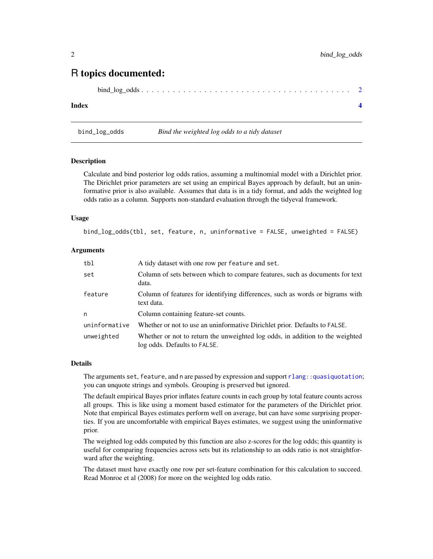### <span id="page-1-0"></span>R topics documented:

|--|

#### **Index** [4](#page-3-0)

bind\_log\_odds *Bind the weighted log odds to a tidy dataset*

#### Description

Calculate and bind posterior log odds ratios, assuming a multinomial model with a Dirichlet prior. The Dirichlet prior parameters are set using an empirical Bayes approach by default, but an uninformative prior is also available. Assumes that data is in a tidy format, and adds the weighted log odds ratio as a column. Supports non-standard evaluation through the tidyeval framework.

#### Usage

bind\_log\_odds(tbl, set, feature, n, uninformative = FALSE, unweighted = FALSE)

#### **Arguments**

| tbl           | A tidy dataset with one row per feature and set.                                                              |
|---------------|---------------------------------------------------------------------------------------------------------------|
| set           | Column of sets between which to compare features, such as documents for text<br>data.                         |
| feature       | Column of features for identifying differences, such as words or bigrams with<br>text data.                   |
| n             | Column containing feature-set counts.                                                                         |
| uninformative | Whether or not to use an uninformative Dirichlet prior. Defaults to FALSE.                                    |
| unweighted    | Whether or not to return the unweighted log odds, in addition to the weighted<br>log odds. Defaults to FALSE. |

#### Details

The arguments set, feature, and n are passed by expression and support rlang: : quasiquotation; you can unquote strings and symbols. Grouping is preserved but ignored.

The default empirical Bayes prior inflates feature counts in each group by total feature counts across all groups. This is like using a moment based estimator for the parameters of the Dirichlet prior. Note that empirical Bayes estimates perform well on average, but can have some surprising properties. If you are uncomfortable with empirical Bayes estimates, we suggest using the uninformative prior.

The weighted log odds computed by this function are also z-scores for the log odds; this quantity is useful for comparing frequencies across sets but its relationship to an odds ratio is not straightforward after the weighting.

The dataset must have exactly one row per set-feature combination for this calculation to succeed. Read Monroe et al (2008) for more on the weighted log odds ratio.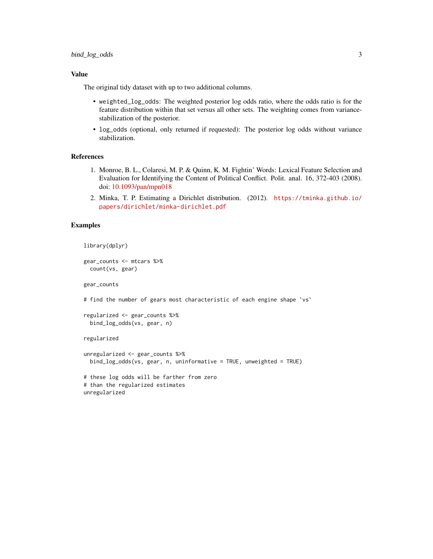#### Value

The original tidy dataset with up to two additional columns.

- weighted\_log\_odds: The weighted posterior log odds ratio, where the odds ratio is for the feature distribution within that set versus all other sets. The weighting comes from variancestabilization of the posterior.
- log\_odds (optional, only returned if requested): The posterior log odds without variance stabilization.

#### References

- 1. Monroe, B. L., Colaresi, M. P. & Quinn, K. M. Fightin' Words: Lexical Feature Selection and Evaluation for Identifying the Content of Political Conflict. Polit. anal. 16, 372-403 (2008). doi: [10.1093/pan/mpn018](https://doi.org/10.1093/pan/mpn018)
- 2. Minka, T. P. Estimating a Dirichlet distribution. (2012). [https://tminka.github.io/](https://tminka.github.io/papers/dirichlet/minka-dirichlet.pdf) [papers/dirichlet/minka-dirichlet.pdf](https://tminka.github.io/papers/dirichlet/minka-dirichlet.pdf)

#### Examples

```
library(dplyr)
```

```
gear_counts <- mtcars %>%
 count(vs, gear)
```
gear\_counts

# find the number of gears most characteristic of each engine shape `vs`

```
regularized <- gear_counts %>%
 bind_log_odds(vs, gear, n)
```
regularized

```
unregularized <- gear_counts %>%
 bind_log_odds(vs, gear, n, uninformative = TRUE, unweighted = TRUE)
# these log odds will be farther from zero
# than the regularized estimates
unregularized
```